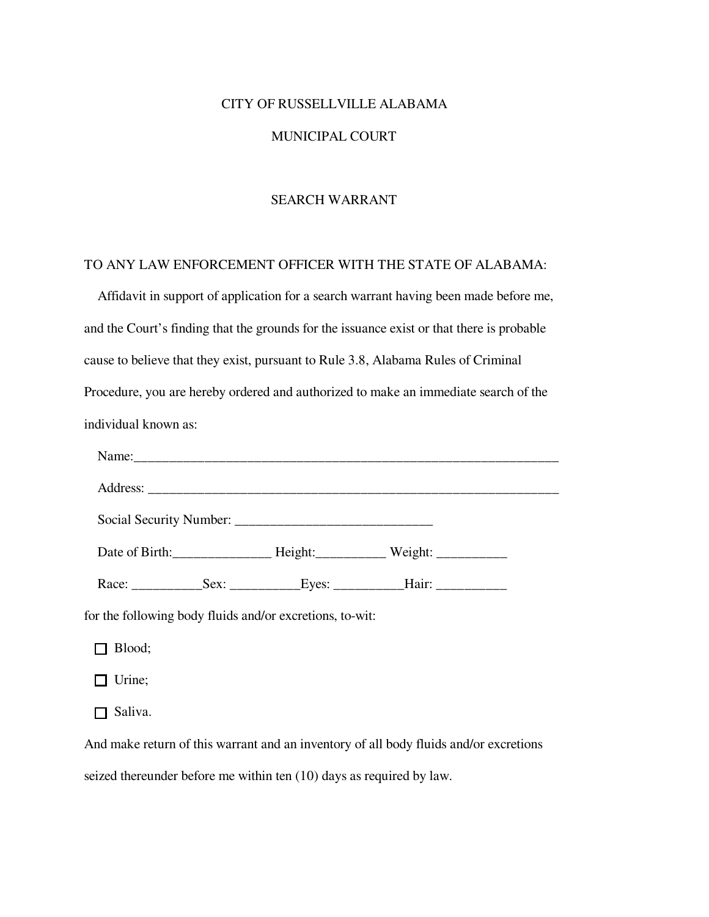#### CITY OF RUSSELLVILLE ALABAMA

#### MUNICIPAL COURT

### SEARCH WARRANT

### TO ANY LAW ENFORCEMENT OFFICER WITH THE STATE OF ALABAMA:

 Affidavit in support of application for a search warrant having been made before me, and the Court's finding that the grounds for the issuance exist or that there is probable cause to believe that they exist, pursuant to Rule 3.8, Alabama Rules of Criminal Procedure, you are hereby ordered and authorized to make an immediate search of the individual known as: Name:\_\_\_\_\_\_\_\_\_\_\_\_\_\_\_\_\_\_\_\_\_\_\_\_\_\_\_\_\_\_\_\_\_\_\_\_\_\_\_\_\_\_\_\_\_\_\_\_\_\_\_\_\_\_\_\_\_\_\_\_ Address: Social Security Number: \_\_\_\_\_\_\_\_\_\_\_\_\_\_\_\_\_\_\_\_\_\_\_\_\_\_\_\_ Date of Birth:\_\_\_\_\_\_\_\_\_\_\_\_\_\_\_\_\_\_\_\_\_\_\_ Height:\_\_\_\_\_\_\_\_\_\_\_\_\_\_\_ Weight: \_\_\_\_\_\_\_\_\_\_\_\_\_ Race: \_\_\_\_\_\_\_\_\_\_Sex: \_\_\_\_\_\_\_\_\_\_Eyes: \_\_\_\_\_\_\_\_\_\_Hair: \_\_\_\_\_\_\_\_\_\_

for the following body fluids and/or excretions, to-wit:

□ Blood;

 $\Box$  Urine;

 $\Box$  Saliva.

And make return of this warrant and an inventory of all body fluids and/or excretions seized thereunder before me within ten (10) days as required by law.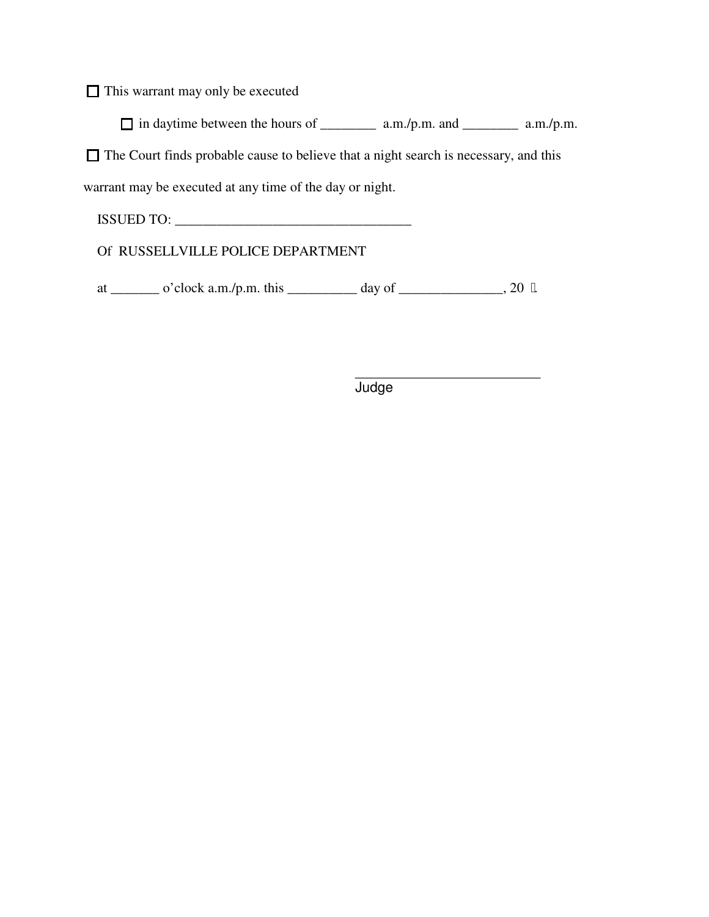$\Box$  This warrant may only be executed

 $\Box$  in daytime between the hours of \_\_\_\_\_\_\_\_\_\_ a.m./p.m. and \_\_\_\_\_\_\_\_\_\_ a.m./p.m.

 $\Box$  The Court finds probable cause to believe that a night search is necessary, and this

warrant may be executed at any time of the day or night.

ISSUED TO: \_\_\_\_\_\_\_\_\_\_\_\_\_\_\_\_\_\_\_\_\_\_\_\_\_\_\_\_\_\_\_\_\_\_

Of RUSSELLVILLE POLICE DEPARTMENT

at \_\_\_\_\_\_\_\_ o'clock a.m./p.m. this \_\_\_\_\_\_\_\_\_\_\_ day of \_\_\_\_\_\_\_\_\_\_\_\_\_, 20  $"$ .

\_\_\_\_\_\_\_\_\_\_\_\_\_\_\_\_\_\_\_\_\_\_\_\_ **Judge**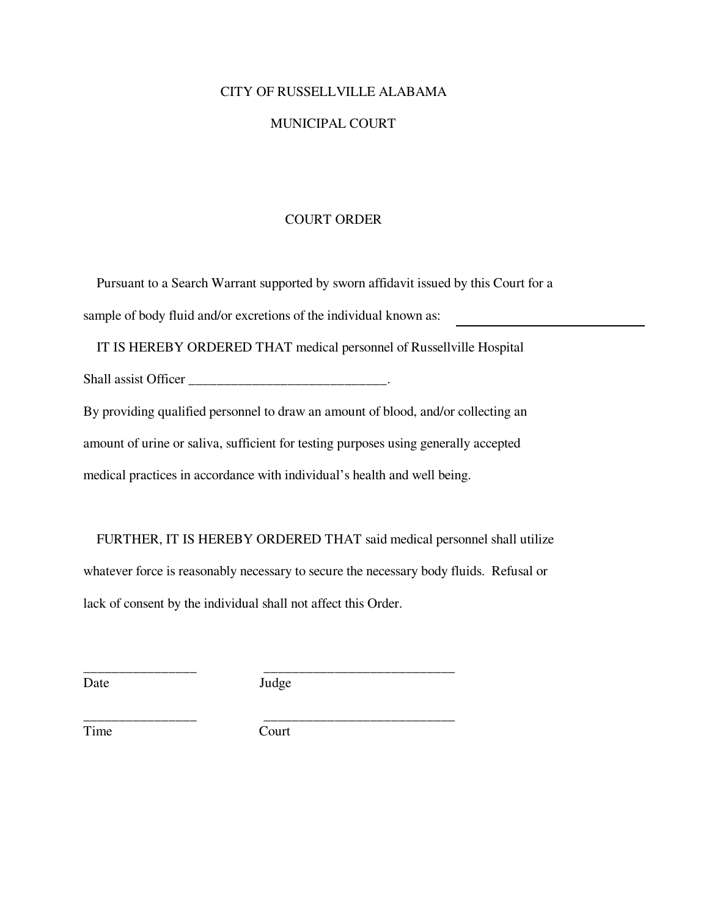### CITY OF RUSSELLVILLE ALABAMA

### MUNICIPAL COURT

### COURT ORDER

 Pursuant to a Search Warrant supported by sworn affidavit issued by this Court for a sample of body fluid and/or excretions of the individual known as:

IT IS HEREBY ORDERED THAT medical personnel of Russellville Hospital

Shall assist Officer \_\_\_\_\_\_\_\_\_\_\_\_\_\_\_\_\_\_\_\_\_\_\_\_\_\_\_\_\_\_\_.

By providing qualified personnel to draw an amount of blood, and/or collecting an amount of urine or saliva, sufficient for testing purposes using generally accepted medical practices in accordance with individual's health and well being.

 FURTHER, IT IS HEREBY ORDERED THAT said medical personnel shall utilize whatever force is reasonably necessary to secure the necessary body fluids. Refusal or lack of consent by the individual shall not affect this Order.

\_\_\_\_\_\_\_\_\_\_\_\_\_\_\_\_ \_\_\_\_\_\_\_\_\_\_\_\_\_\_\_\_\_\_\_\_\_\_\_\_\_\_\_ Date Judge

\_\_\_\_\_\_\_\_\_\_\_\_\_\_\_\_ \_\_\_\_\_\_\_\_\_\_\_\_\_\_\_\_\_\_\_\_\_\_\_\_\_\_\_ Time Court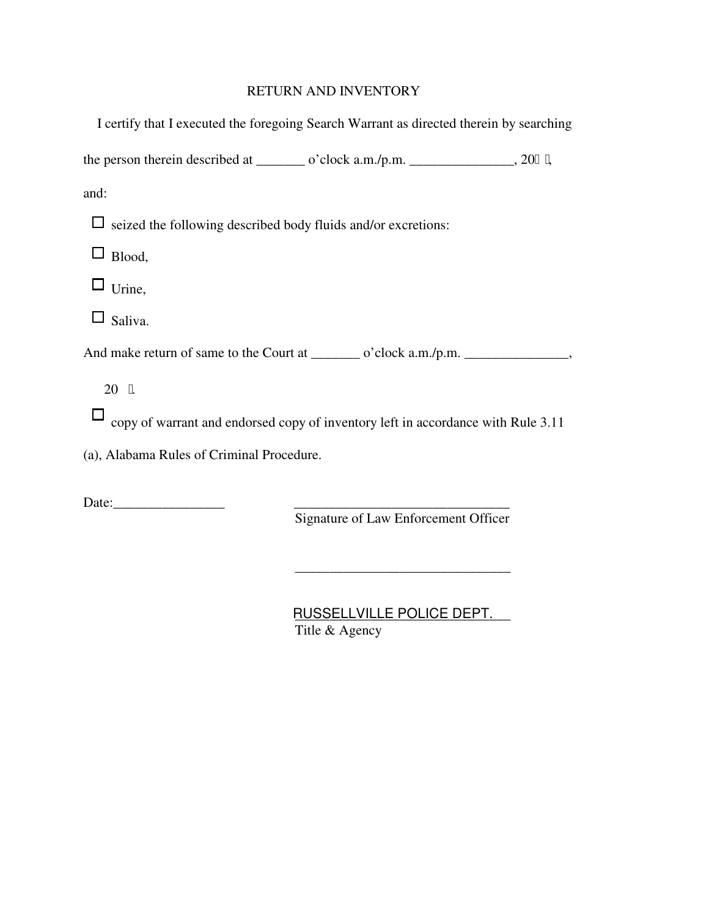## RETURN AND INVENTORY

| I certify that I executed the foregoing Search Warrant as directed therein by searching  |
|------------------------------------------------------------------------------------------|
| the person therein described at _________ o'clock $a.m./p.m.$ __________________, 20" ", |
| and:                                                                                     |
| seized the following described body fluids and/or excretions:                            |
| Blood,                                                                                   |
| $\Box$ Urine,                                                                            |
| $\Box$ Saliva.                                                                           |
|                                                                                          |
| 20 "                                                                                     |
| copy of warrant and endorsed copy of inventory left in accordance with Rule 3.11         |
| (a), Alabama Rules of Criminal Procedure.                                                |
|                                                                                          |

Date:\_\_\_\_\_\_\_\_\_\_\_\_\_\_\_\_ \_\_\_\_\_\_\_\_\_\_\_\_\_\_\_\_\_\_\_\_\_\_\_\_\_\_\_\_\_\_\_

Signature of Law Enforcement Officer

\_\_\_\_\_\_\_\_\_\_\_\_\_\_\_\_\_\_\_\_\_\_\_\_\_\_\_\_\_\_\_

RUSSELLVILLE POLICE DEPT. Title & Agency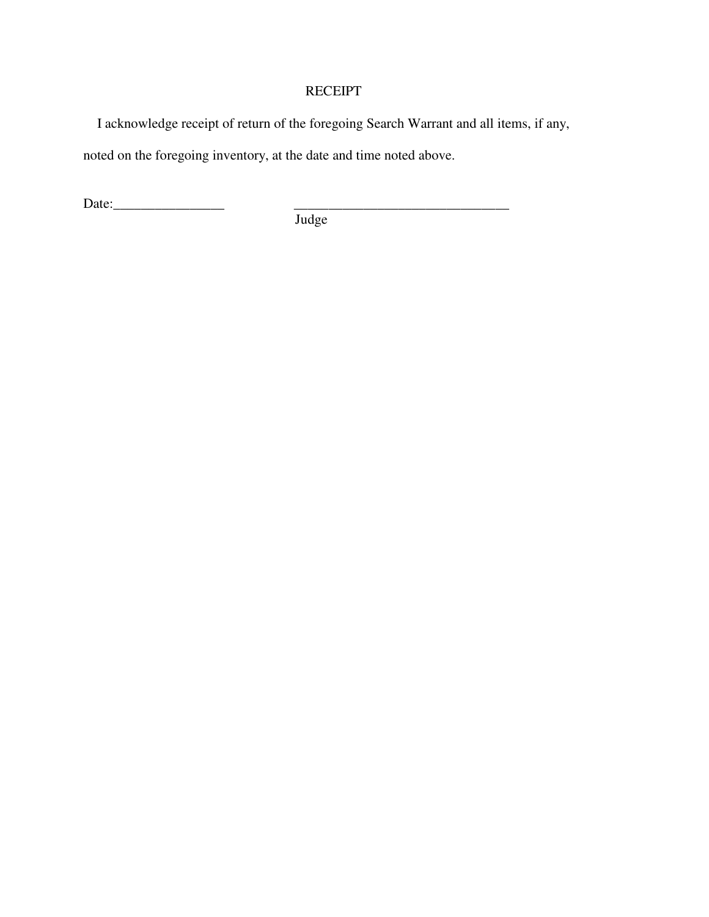### **RECEIPT**

I acknowledge receipt of return of the foregoing Search Warrant and all items, if any,

noted on the foregoing inventory, at the date and time noted above.

Date:\_\_\_\_\_\_\_\_\_\_\_\_\_\_\_\_ \_\_\_\_\_\_\_\_\_\_\_\_\_\_\_\_\_\_\_\_\_\_\_\_\_\_\_\_\_\_\_

Judge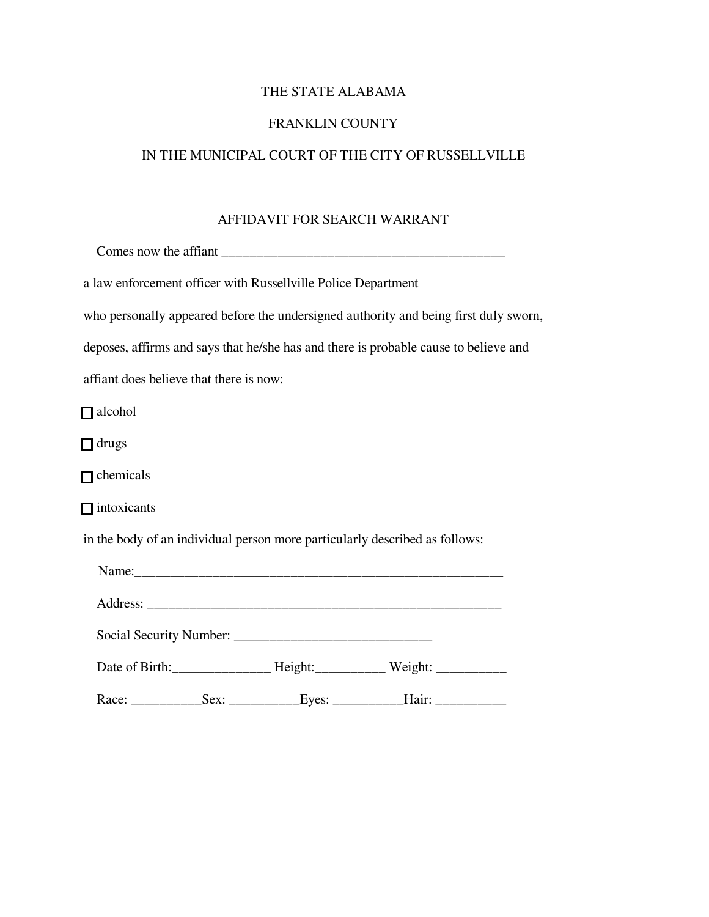# THE STATE ALABAMA

## FRANKLIN COUNTY

## IN THE MUNICIPAL COURT OF THE CITY OF RUSSELLVILLE

### AFFIDAVIT FOR SEARCH WARRANT

|                                         | a law enforcement officer with Russellville Police Department |                                                                                      |  |
|-----------------------------------------|---------------------------------------------------------------|--------------------------------------------------------------------------------------|--|
|                                         |                                                               | who personally appeared before the undersigned authority and being first duly sworn, |  |
|                                         |                                                               | deposes, affirms and says that he/she has and there is probable cause to believe and |  |
| affiant does believe that there is now: |                                                               |                                                                                      |  |
| $\Box$ alcohol                          |                                                               |                                                                                      |  |
| $\Box$ drugs                            |                                                               |                                                                                      |  |
| $\Box$ chemicals                        |                                                               |                                                                                      |  |
| $\Box$ intoxicants                      |                                                               |                                                                                      |  |
|                                         |                                                               | in the body of an individual person more particularly described as follows:          |  |
|                                         |                                                               |                                                                                      |  |
|                                         |                                                               |                                                                                      |  |
|                                         |                                                               |                                                                                      |  |
|                                         |                                                               |                                                                                      |  |
|                                         |                                                               |                                                                                      |  |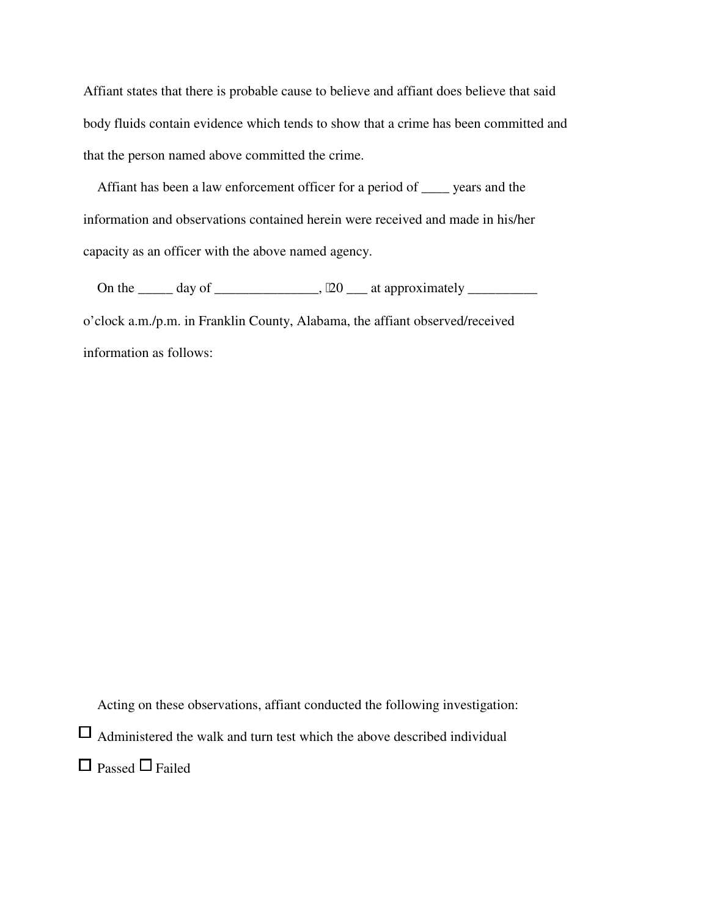Affiant states that there is probable cause to believe and affiant does believe that said body fluids contain evidence which tends to show that a crime has been committed and that the person named above committed the crime.

 Affiant has been a law enforcement officer for a period of \_\_\_\_ years and the information and observations contained herein were received and made in his/her capacity as an officer with the above named agency.

 On the \_\_\_\_\_ day of \_\_\_\_\_\_\_\_\_\_\_\_\_\_\_, 20 \_\_\_ at approximately \_\_\_\_\_\_\_\_\_\_ o'clock a.m./p.m. in Franklin County, Alabama, the affiant observed/received information as follows:

Acting on these observations, affiant conducted the following investigation:

 $\Box$  Administered the walk and turn test which the above described individual

 $\Box$  Passed  $\Box$  Failed